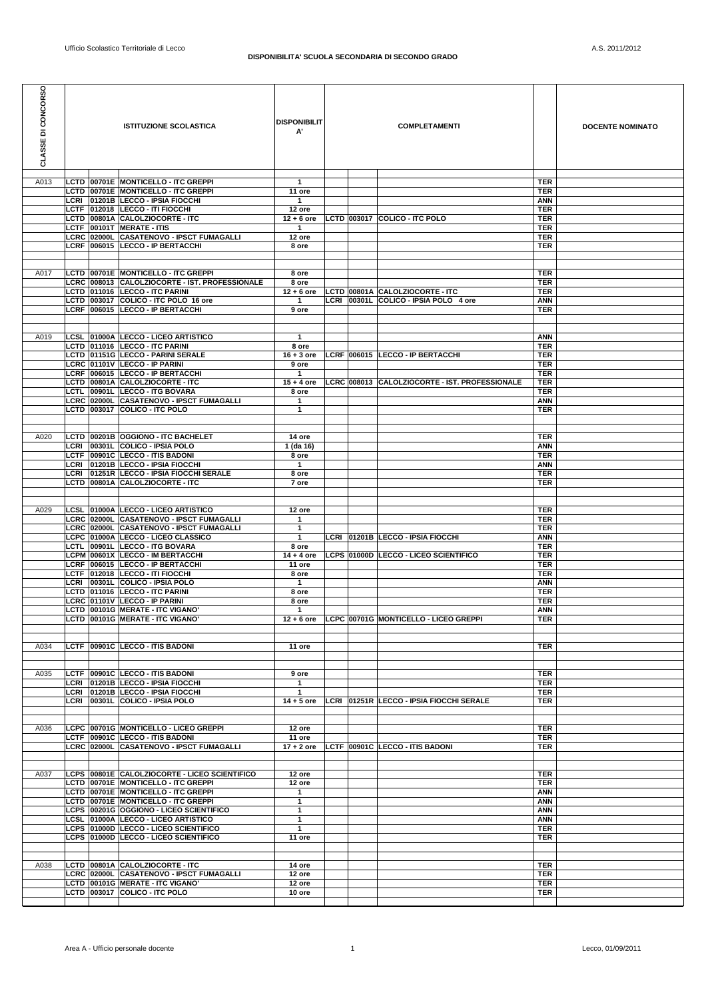| CLASSE DI CONCORSO |  |  | <b>ISTITUZIONE SCOLASTICA</b>                                                  | <b>DISPONIBILIT</b><br>А'      | <b>COMPLETAMENTI</b> |  |                                                                          |                          | <b>DOCENTE NOMINATO</b> |
|--------------------|--|--|--------------------------------------------------------------------------------|--------------------------------|----------------------|--|--------------------------------------------------------------------------|--------------------------|-------------------------|
| A013               |  |  | LCTD 00701E MONTICELLO - ITC GREPPI                                            | $\mathbf 1$                    |                      |  |                                                                          | TER                      |                         |
|                    |  |  | LCTD 00701E MONTICELLO - ITC GREPPI                                            | 11 ore                         |                      |  |                                                                          | <b>TER</b>               |                         |
|                    |  |  | LCRI 01201B LECCO - IPSIA FIOCCHI                                              | $\overline{1}$                 |                      |  |                                                                          | <b>ANN</b>               |                         |
|                    |  |  | LCTF 012018 LECCO - ITI FIOCCHI<br>LCTD 00801A CALOLZIOCORTE - ITC             | 12 ore<br>$12 + 6$ ore         |                      |  | LCTD 003017 COLICO - ITC POLO                                            | <b>TER</b><br><b>TER</b> |                         |
|                    |  |  | LCTF 00101T MERATE - ITIS                                                      | $\mathbf{1}$                   |                      |  |                                                                          | <b>TER</b>               |                         |
|                    |  |  | LCRC 02000L CASATENOVO - IPSCT FUMAGALLI                                       | 12 ore                         |                      |  |                                                                          | <b>TER</b>               |                         |
|                    |  |  | LCRF 006015 LECCO - IP BERTACCHI                                               | 8 ore                          |                      |  |                                                                          | <b>TER</b>               |                         |
|                    |  |  |                                                                                |                                |                      |  |                                                                          |                          |                         |
| A017               |  |  | LCTD 00701E MONTICELLO - ITC GREPPI                                            | 8 ore                          |                      |  |                                                                          | <b>TER</b>               |                         |
|                    |  |  | LCRC 008013 CALOLZIOCORTE - IST. PROFESSIONALE                                 | 8 ore                          |                      |  |                                                                          | <b>TER</b>               |                         |
|                    |  |  | LCTD 011016 LECCO - ITC PARINI<br>LCTD 003017 COLICO - ITC POLO 16 ore         | $12 + 6$ ore<br>$\overline{1}$ |                      |  | LCTD 00801A CALOLZIOCORTE - ITC<br>LCRI 00301L COLICO - IPSIA POLO 4 ore | <b>TER</b><br><b>ANN</b> |                         |
|                    |  |  | LCRF 006015 LECCO - IP BERTACCHI                                               | 9 ore                          |                      |  |                                                                          | <b>TER</b>               |                         |
|                    |  |  |                                                                                |                                |                      |  |                                                                          |                          |                         |
|                    |  |  |                                                                                |                                |                      |  |                                                                          |                          |                         |
| A019               |  |  | LCSL 01000A LECCO - LICEO ARTISTICO<br>LCTD 011016 LECCO - ITC PARINI          | $\mathbf{1}$<br>8 ore          |                      |  |                                                                          | <b>ANN</b><br><b>TER</b> |                         |
|                    |  |  | LCTD 01151G LECCO - PARINI SERALE                                              |                                |                      |  | 16+3 ore LCRF 006015 LECCO - IP BERTACCHI                                | <b>TER</b>               |                         |
|                    |  |  | LCRC 01101V LECCO - IP PARINI                                                  | 9 ore                          |                      |  |                                                                          | <b>TER</b>               |                         |
|                    |  |  | LCRF 006015 LECCO - IP BERTACCHI<br>LCTD 00801A CALOLZIOCORTE - ITC            | $\mathbf{1}$                   |                      |  |                                                                          | <b>TER</b>               |                         |
|                    |  |  | LCTL 00901L LECCO - ITG BOVARA                                                 | $15 + 4$ ore<br>8 ore          |                      |  | LCRC 008013 CALOLZIOCORTE - IST. PROFESSIONALE                           | <b>TER</b><br><b>TER</b> |                         |
|                    |  |  | LCRC 02000L CASATENOVO - IPSCT FUMAGALLI                                       | $\mathbf{1}$                   |                      |  |                                                                          | <b>ANN</b>               |                         |
|                    |  |  | LCTD 003017 COLICO - ITC POLO                                                  | $\mathbf{1}$                   |                      |  |                                                                          | <b>TER</b>               |                         |
|                    |  |  |                                                                                |                                |                      |  |                                                                          |                          |                         |
| A020               |  |  | LCTD 00201B OGGIONO - ITC BACHELET                                             | 14 ore                         |                      |  |                                                                          | <b>TER</b>               |                         |
|                    |  |  | LCRI 00301L COLICO - IPSIA POLO                                                | 1 (da 16)                      |                      |  |                                                                          | <b>ANN</b>               |                         |
|                    |  |  | LCTF 00901C LECCO - ITIS BADONI                                                | 8 ore                          |                      |  |                                                                          | <b>TER</b>               |                         |
|                    |  |  | LCRI 01201B LECCO - IPSIA FIOCCHI<br>LCRI 01251R LECCO - IPSIA FIOCCHI SERALE  | $\mathbf{1}$<br>8 ore          |                      |  |                                                                          | <b>ANN</b><br><b>TER</b> |                         |
|                    |  |  | LCTD 00801A CALOLZIOCORTE - ITC                                                | 7 ore                          |                      |  |                                                                          | <b>TER</b>               |                         |
|                    |  |  |                                                                                |                                |                      |  |                                                                          |                          |                         |
| A029               |  |  | LCSL 01000A LECCO - LICEO ARTISTICO                                            | 12 ore                         |                      |  |                                                                          | <b>TER</b>               |                         |
|                    |  |  | LCRC 02000L CASATENOVO - IPSCT FUMAGALLI                                       | 1                              |                      |  |                                                                          | <b>TER</b>               |                         |
|                    |  |  | LCRC 02000L CASATENOVO - IPSCT FUMAGALLI                                       | 1                              |                      |  |                                                                          | <b>TER</b>               |                         |
|                    |  |  | LCPC 01000A LECCO - LICEO CLASSICO<br>LCTL 00901L LECCO - ITG BOVARA           | $\mathbf{1}$                   |                      |  | LCRI 01201B LECCO - IPSIA FIOCCHI                                        | <b>ANN</b>               |                         |
|                    |  |  | LCPM 00601X LECCO - IM BERTACCHI                                               | 8 ore<br>$14 + 4$ ore          |                      |  | LCPS 01000D LECCO - LICEO SCIENTIFICO                                    | <b>TER</b><br><b>TER</b> |                         |
|                    |  |  | LCRF 006015 LECCO - IP BERTACCHI                                               | 11 ore                         |                      |  |                                                                          | <b>TER</b>               |                         |
|                    |  |  | LCTF 012018 LECCO - ITI FIOCCHI                                                | 8 ore                          |                      |  |                                                                          | <b>TER</b>               |                         |
|                    |  |  | LCRI 00301L COLICO - IPSIA POLO<br>LCTD 011016 LECCO - ITC PARINI              | $\mathbf 1$<br>8 ore           |                      |  |                                                                          | <b>ANN</b><br><b>TER</b> |                         |
|                    |  |  | LCRC 01101V LECCO - IP PARINI                                                  | 8 ore                          |                      |  |                                                                          | <b>TER</b>               |                         |
|                    |  |  | LCTD 00101G MERATE - ITC VIGANO'                                               | $\mathbf{1}$                   |                      |  |                                                                          | <b>ANN</b>               |                         |
|                    |  |  | LCTD 00101G MERATE - ITC VIGANO                                                |                                |                      |  | 12 + 6 ore LCPC 00701G MONTICELLO - LICEO GREPPI                         | TER                      |                         |
| A034               |  |  | LCTF 00901C LECCO - ITIS BADONI                                                | 11 ore                         |                      |  |                                                                          | <b>TER</b>               |                         |
|                    |  |  |                                                                                |                                |                      |  |                                                                          |                          |                         |
| A035               |  |  | LCTF 00901C LECCO - ITIS BADONI                                                | 9 ore                          |                      |  |                                                                          | <b>TER</b>               |                         |
|                    |  |  | LCRI 01201B LECCO - IPSIA FIOCCHI<br>LCRI 01201B LECCO - IPSIA FIOCCHI         | 1<br>$\mathbf{1}$              |                      |  |                                                                          | <b>TER</b><br><b>TER</b> |                         |
|                    |  |  | LCRI 00301L COLICO - IPSIA POLO                                                | $14 + 5$ ore                   |                      |  | LCRI 01251R LECCO - IPSIA FIOCCHI SERALE                                 | <b>TER</b>               |                         |
|                    |  |  |                                                                                |                                |                      |  |                                                                          |                          |                         |
|                    |  |  | LCPC 00701G MONTICELLO - LICEO GREPPI                                          |                                |                      |  |                                                                          |                          |                         |
| A036               |  |  | LCTF 00901C LECCO - ITIS BADONI                                                | 12 ore<br>11 ore               |                      |  |                                                                          | <b>TER</b><br><b>TER</b> |                         |
|                    |  |  | LCRC 02000L CASATENOVO - IPSCT FUMAGALLI                                       | $17 + 2$ ore                   |                      |  | LCTF 00901C LECCO - ITIS BADONI                                          | <b>TER</b>               |                         |
|                    |  |  |                                                                                |                                |                      |  |                                                                          |                          |                         |
| A037               |  |  | LCPS 00801E CALOLZIOCORTE - LICEO SCIENTIFICO                                  | 12 ore                         |                      |  |                                                                          | <b>TER</b>               |                         |
|                    |  |  | LCTD 00701E MONTICELLO - ITC GREPPI                                            | 12 ore                         |                      |  |                                                                          | <b>TER</b>               |                         |
|                    |  |  | LCTD 00701E MONTICELLO - ITC GREPPI                                            | $\mathbf{1}$                   |                      |  |                                                                          | <b>ANN</b>               |                         |
|                    |  |  | LCTD 00701E MONTICELLO - ITC GREPPI<br>LCPS 00201G OGGIONO - LICEO SCIENTIFICO | $\mathbf{1}$<br>$\mathbf{1}$   |                      |  |                                                                          | <b>ANN</b><br><b>ANN</b> |                         |
|                    |  |  | LCSL 01000A LECCO - LICEO ARTISTICO                                            | 1                              |                      |  |                                                                          | <b>ANN</b>               |                         |
|                    |  |  | LCPS 01000D LECCO - LICEO SCIENTIFICO                                          | 1                              |                      |  |                                                                          | <b>TER</b>               |                         |
|                    |  |  | LCPS 01000D LECCO - LICEO SCIENTIFICO                                          | 11 ore                         |                      |  |                                                                          | <b>TER</b>               |                         |
|                    |  |  |                                                                                |                                |                      |  |                                                                          |                          |                         |
| A038               |  |  | LCTD 00801A CALOLZIOCORTE - ITC                                                | 14 ore                         |                      |  |                                                                          | <b>TER</b>               |                         |
|                    |  |  | LCRC 02000L CASATENOVO - IPSCT FUMAGALLI                                       | 12 ore                         |                      |  |                                                                          | <b>TER</b>               |                         |
|                    |  |  | LCTD 00101G MERATE - ITC VIGANO'<br>LCTD 003017 COLICO - ITC POLO              | 12 ore<br>10 ore               |                      |  |                                                                          | <b>TER</b><br><b>TER</b> |                         |
|                    |  |  |                                                                                |                                |                      |  |                                                                          |                          |                         |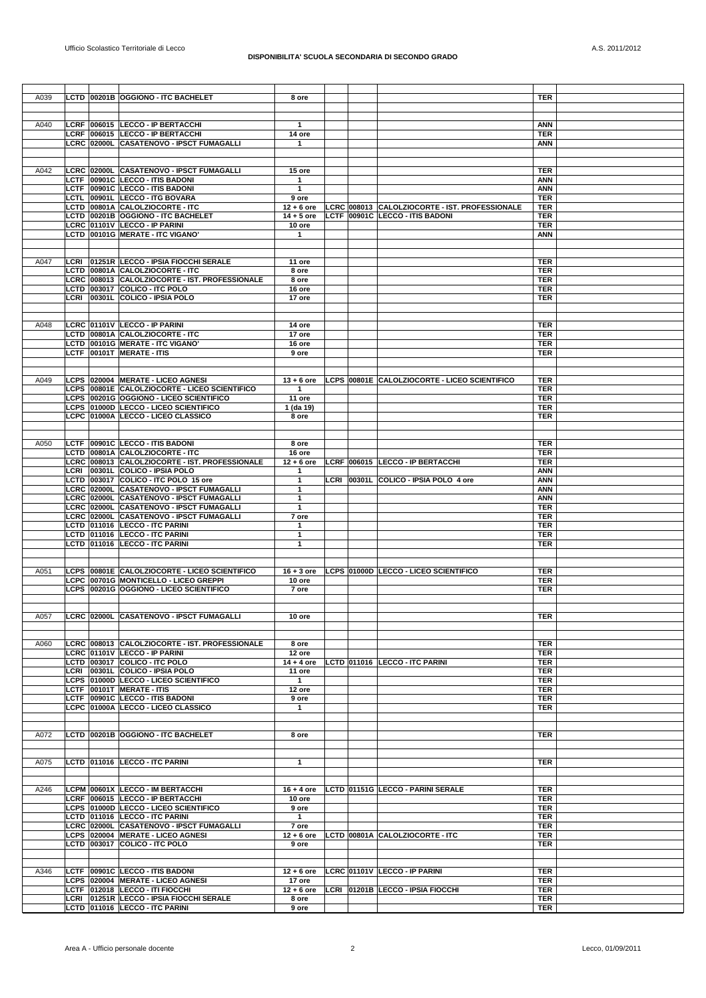| A039 |  | LCTD 00201B OGGIONO - ITC BACHELET                                                   | 8 ore                        |  |                                                | <b>TER</b>               |  |
|------|--|--------------------------------------------------------------------------------------|------------------------------|--|------------------------------------------------|--------------------------|--|
|      |  |                                                                                      |                              |  |                                                |                          |  |
| A040 |  | LCRF 006015 LECCO - IP BERTACCHI                                                     | 1                            |  |                                                | ANN                      |  |
|      |  | LCRF 006015 LECCO - IP BERTACCHI                                                     | 14 ore                       |  |                                                | <b>TER</b>               |  |
|      |  | LCRC 02000L CASATENOVO - IPSCT FUMAGALLI                                             | 1                            |  |                                                | <b>ANN</b>               |  |
|      |  |                                                                                      |                              |  |                                                |                          |  |
| A042 |  | LCRC 02000L CASATENOVO - IPSCT FUMAGALLI                                             | 15 ore                       |  |                                                | <b>TER</b>               |  |
|      |  | LCTF 00901C LECCO - ITIS BADONI                                                      | $\mathbf{1}$                 |  |                                                | ANN                      |  |
|      |  | LCTF 00901C LECCO - ITIS BADONI<br>LCTL 00901L LECCO - ITG BOVARA                    | 1<br>9 ore                   |  |                                                | <b>ANN</b><br><b>TER</b> |  |
|      |  | LCTD 00801A CALOLZIOCORTE - ITC                                                      | $12 + 6$ ore                 |  | LCRC 008013 CALOLZIOCORTE - IST. PROFESSIONALE | <b>TER</b>               |  |
|      |  | LCTD 00201B OGGIONO - ITC BACHELET                                                   | $14 + 5$ ore                 |  | LCTF 00901C LECCO - ITIS BADONI                | <b>TER</b>               |  |
|      |  | LCRC 01101V LECCO - IP PARINI                                                        | 10 ore                       |  |                                                | <b>TER</b>               |  |
|      |  | LCTD 00101G MERATE - ITC VIGANO'                                                     | 1                            |  |                                                | ANN                      |  |
|      |  |                                                                                      |                              |  |                                                |                          |  |
| A047 |  | LCRI 01251R LECCO - IPSIA FIOCCHI SERALE                                             | 11 ore                       |  |                                                | <b>TER</b>               |  |
|      |  | LCTD 00801A CALOLZIOCORTE - ITC<br>LCRC 008013 CALOLZIOCORTE - IST. PROFESSIONALE    | 8 ore<br>8 ore               |  |                                                | <b>TER</b><br><b>TER</b> |  |
|      |  | LCTD 003017 COLICO - ITC POLO                                                        | 16 ore                       |  |                                                | <b>TER</b>               |  |
|      |  | LCRI 00301L COLICO - IPSIA POLO                                                      | 17 ore                       |  |                                                | <b>TER</b>               |  |
|      |  |                                                                                      |                              |  |                                                |                          |  |
|      |  |                                                                                      |                              |  |                                                |                          |  |
| A048 |  | LCRC 01101V LECCO - IP PARINI<br>LCTD 00801A CALOLZIOCORTE - ITC                     | 14 ore                       |  |                                                | <b>TER</b><br><b>TER</b> |  |
|      |  | LCTD 00101G MERATE - ITC VIGANO'                                                     | 17 ore<br>16 ore             |  |                                                | <b>TER</b>               |  |
|      |  | LCTF 00101T MERATE - ITIS                                                            | 9 ore                        |  |                                                | <b>TER</b>               |  |
|      |  |                                                                                      |                              |  |                                                |                          |  |
|      |  |                                                                                      |                              |  |                                                | <b>TER</b>               |  |
| A049 |  | LCPS 020004 MERATE - LICEO AGNESI<br>LCPS 00801E CALOLZIOCORTE - LICEO SCIENTIFICO   | $13 + 6$ ore<br>$\mathbf{1}$ |  | LCPS 00801E CALOLZIOCORTE - LICEO SCIENTIFICO  | <b>TER</b>               |  |
|      |  | LCPS 00201G OGGIONO - LICEO SCIENTIFICO                                              | 11 ore                       |  |                                                | <b>TER</b>               |  |
|      |  | LCPS 01000D LECCO - LICEO SCIENTIFICO                                                | 1 (da 19)                    |  |                                                | <b>TER</b>               |  |
|      |  | LCPC 01000A LECCO - LICEO CLASSICO                                                   | 8 ore                        |  |                                                | <b>TER</b>               |  |
|      |  |                                                                                      |                              |  |                                                |                          |  |
| A050 |  | LCTF 00901C LECCO - ITIS BADONI                                                      | 8 ore                        |  |                                                | <b>TER</b>               |  |
|      |  | LCTD 00801A CALOLZIOCORTE - ITC                                                      | 16 ore                       |  |                                                | <b>TER</b>               |  |
|      |  | LCRC 008013 CALOLZIOCORTE - IST. PROFESSIONALE                                       | $12 + 6$ ore                 |  | LCRF 006015 LECCO - IP BERTACCHI               | <b>TER</b>               |  |
|      |  | LCRI 00301L COLICO - IPSIA POLO                                                      | 1                            |  |                                                | <b>ANN</b>               |  |
|      |  | LCTD 003017 COLICO - ITC POLO 15 ore                                                 | 1                            |  | LCRI 00301L COLICO - IPSIA POLO 4 ore          | ANN                      |  |
|      |  | LCRC 02000L CASATENOVO - IPSCT FUMAGALLI                                             | 1                            |  |                                                | <b>ANN</b>               |  |
|      |  | LCRC 02000L CASATENOVO - IPSCT FUMAGALLI<br>LCRC 02000L CASATENOVO - IPSCT FUMAGALLI | 1<br>$\mathbf{1}$            |  |                                                | <b>ANN</b><br><b>TER</b> |  |
|      |  | LCRC 02000L CASATENOVO - IPSCT FUMAGALLI                                             | 7 ore                        |  |                                                | <b>TER</b>               |  |
|      |  | LCTD 011016 LECCO - ITC PARINI                                                       | 1                            |  |                                                | <b>TER</b>               |  |
|      |  | LCTD 011016 LECCO - ITC PARINI                                                       | 1                            |  |                                                | <b>TER</b>               |  |
|      |  | LCTD 011016 LECCO - ITC PARINI                                                       | 1                            |  |                                                | <b>TER</b>               |  |
|      |  |                                                                                      |                              |  |                                                |                          |  |
| A051 |  | LCPS 00801E CALOLZIOCORTE - LICEO SCIENTIFICO                                        | $16 + 3$ ore                 |  | LCPS 01000D LECCO - LICEO SCIENTIFICO          | <b>TER</b>               |  |
|      |  | LCPC 00701G MONTICELLO - LICEO GREPPI                                                | 10 ore                       |  |                                                | <b>TER</b>               |  |
|      |  | LCPS 00201G OGGIONO - LICEO SCIENTIFICO                                              | 7 ore                        |  |                                                | <b>TER</b>               |  |
|      |  |                                                                                      |                              |  |                                                |                          |  |
|      |  | A057 LCRC 02000L CASATENOVO - IPSCT FUMAGALLI                                        | 10 ore                       |  |                                                | <b>TER</b>               |  |
|      |  |                                                                                      |                              |  |                                                |                          |  |
|      |  |                                                                                      |                              |  |                                                |                          |  |
| A060 |  | LCRC 008013 CALOLZIOCORTE - IST. PROFESSIONALE                                       | 8 ore                        |  |                                                | <b>TER</b>               |  |
|      |  | LCRC 01101V LECCO - IP PARINI                                                        | 12 ore                       |  | LCTD 011016 LECCO - ITC PARINI                 | <b>TER</b><br><b>TER</b> |  |
|      |  | LCTD 003017 COLICO - ITC POLO<br>LCRI 00301L COLICO - IPSIA POLO                     | $14 + 4$ ore<br>11 ore       |  |                                                | <b>TER</b>               |  |
|      |  | LCPS 01000D LECCO - LICEO SCIENTIFICO                                                | $\mathbf{1}$                 |  |                                                | <b>TER</b>               |  |
|      |  | LCTF 00101T MERATE - ITIS                                                            | 12 ore                       |  |                                                | <b>TER</b>               |  |
|      |  | LCTF 00901C LECCO - ITIS BADONI                                                      | 9 ore                        |  |                                                | <b>TER</b>               |  |
|      |  | LCPC 01000A LECCO - LICEO CLASSICO                                                   | $\mathbf{1}$                 |  |                                                | <b>TER</b>               |  |
|      |  |                                                                                      |                              |  |                                                |                          |  |
| A072 |  | LCTD 00201B OGGIONO - ITC BACHELET                                                   | 8 ore                        |  |                                                | <b>TER</b>               |  |
|      |  |                                                                                      |                              |  |                                                |                          |  |
|      |  |                                                                                      |                              |  |                                                |                          |  |
| A075 |  | LCTD 011016 LECCO - ITC PARINI                                                       | 1                            |  |                                                | <b>TER</b>               |  |
|      |  |                                                                                      |                              |  |                                                |                          |  |
| A246 |  | LCPM 00601X LECCO - IM BERTACCHI                                                     | $16 + 4$ ore                 |  | LCTD 01151G LECCO - PARINI SERALE              | <b>TER</b><br><b>TER</b> |  |
|      |  | LCRF 006015 LECCO - IP BERTACCHI<br>LCPS 01000D LECCO - LICEO SCIENTIFICO            | 10 ore<br>9 ore              |  |                                                | <b>TER</b>               |  |
|      |  | LCTD 011016 LECCO - ITC PARINI                                                       | 1                            |  |                                                | <b>TER</b>               |  |
|      |  | LCRC 02000L CASATENOVO - IPSCT FUMAGALLI                                             | 7 ore                        |  |                                                | <b>TER</b>               |  |
|      |  | LCPS 020004 MERATE - LICEO AGNESI                                                    | $12 + 6$ ore                 |  | LCTD 00801A CALOLZIOCORTE - ITC                | <b>TER</b>               |  |
|      |  | LCTD 003017 COLICO - ITC POLO                                                        | 9 ore                        |  |                                                | <b>TER</b>               |  |
|      |  |                                                                                      |                              |  |                                                |                          |  |
| A346 |  | LCTF 00901C LECCO - ITIS BADONI                                                      | $12 + 6$ ore                 |  | LCRC 01101V LECCO - IP PARINI                  | <b>TER</b>               |  |
|      |  | LCPS 020004 MERATE - LICEO AGNESI                                                    | 17 ore                       |  |                                                | <b>TER</b>               |  |
|      |  | LCTF 012018 LECCO - ITI FIOCCHI                                                      | $12 + 6$ ore                 |  | LCRI 01201B LECCO - IPSIA FIOCCHI              | <b>TER</b>               |  |
|      |  | LCRI 01251R LECCO - IPSIA FIOCCHI SERALE                                             | 8 ore                        |  |                                                | <b>TER</b>               |  |
|      |  | LCTD 011016 LECCO - ITC PARINI                                                       | 9 ore                        |  |                                                | <b>TER</b>               |  |